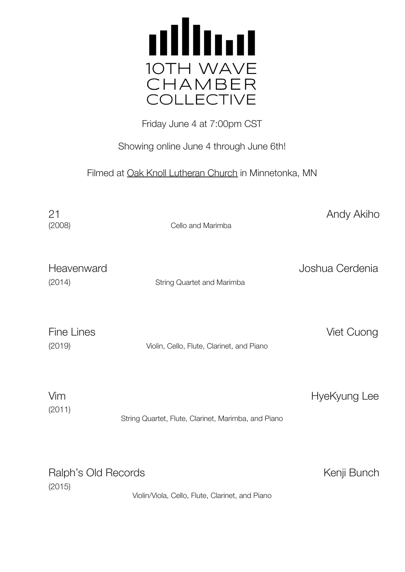

Friday June 4 at 7:00pm CST

Showing online June 4 through June 6th!

Filmed at Oak Knoll Lutheran Church in Minnetonka, MN

(2008) Cello and Marimba

21 Andy Akiho

Joshua Cerdenia

| Heavenward |  |
|------------|--|
| (2014)     |  |

String Quartet and Marimba

Fine Lines **Viet Cuong** 

(2019) Violin, Cello, Flute, Clarinet, and Piano

| Vim    |                                                     | HyeKyung Lee |
|--------|-----------------------------------------------------|--------------|
| (2011) |                                                     |              |
|        | String Quartet, Flute, Clarinet, Marimba, and Piano |              |

Ralph's Old Records **Kenji Bunch** Kenji Bunch (2015) Violin/Viola, Cello, Flute, Clarinet, and Piano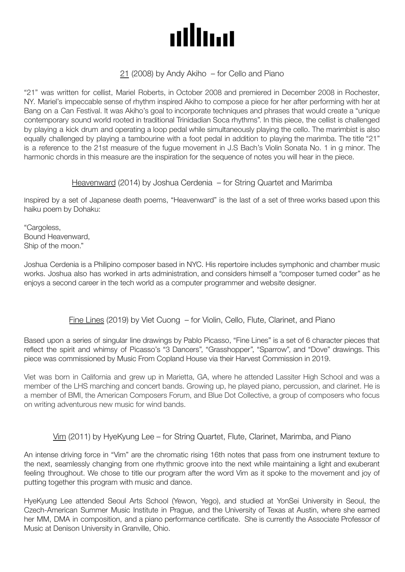# allma

## 21 (2008) by Andy Akiho – for Cello and Piano

"21" was written for cellist, Mariel Roberts, in October 2008 and premiered in December 2008 in Rochester, NY. Mariel's impeccable sense of rhythm inspired Akiho to compose a piece for her after performing with her at Bang on a Can Festival. It was Akiho's goal to incorporate techniques and phrases that would create a "unique contemporary sound world rooted in traditional Trinidadian Soca rhythms". In this piece, the cellist is challenged by playing a kick drum and operating a loop pedal while simultaneously playing the cello. The marimbist is also equally challenged by playing a tambourine with a foot pedal in addition to playing the marimba. The title "21" is a reference to the 21st measure of the fugue movement in J.S Bach's Violin Sonata No. 1 in g minor. The harmonic chords in this measure are the inspiration for the sequence of notes you will hear in the piece.

#### Heavenward (2014) by Joshua Cerdenia – for String Quartet and Marimba

Inspired by a set of Japanese death poems, "Heavenward" is the last of a set of three works based upon this haiku poem by Dohaku:

"Cargoless, Bound Heavenward, Ship of the moon."

Joshua Cerdenia is a Philipino composer based in NYC. His repertoire includes symphonic and chamber music works. Joshua also has worked in arts administration, and considers himself a "composer turned coder" as he enjoys a second career in the tech world as a computer programmer and website designer.

## Fine Lines (2019) by Viet Cuong – for Violin, Cello, Flute, Clarinet, and Piano

Based upon a series of singular line drawings by Pablo Picasso, "Fine Lines" is a set of 6 character pieces that reflect the spirit and whimsy of Picasso's "3 Dancers", "Grasshopper", "Sparrow", and "Dove" drawings. This piece was commissioned by Music From Copland House via their Harvest Commission in 2019.

Viet was born in California and grew up in Marietta, GA, where he attended Lassiter High School and was a member of the LHS marching and concert bands. Growing up, he played piano, percussion, and clarinet. He is a member of BMI, the American Composers Forum, and Blue Dot Collective, a group of composers who focus on writing adventurous new music for wind bands.

## Vim (2011) by HyeKyung Lee – for String Quartet, Flute, Clarinet, Marimba, and Piano

An intense driving force in "Vim" are the chromatic rising 16th notes that pass from one instrument texture to the next, seamlessly changing from one rhythmic groove into the next while maintaining a light and exuberant feeling throughout. We chose to title our program after the word Vim as it spoke to the movement and joy of putting together this program with music and dance.

HyeKyung Lee attended Seoul Arts School (Yewon, Yego), and studied at YonSei University in Seoul, the Czech-American Summer Music Institute in Prague, and the University of Texas at Austin, where she earned her MM, DMA in composition, and a piano performance certificate. She is currently the Associate Professor of Music at Denison University in Granville, Ohio.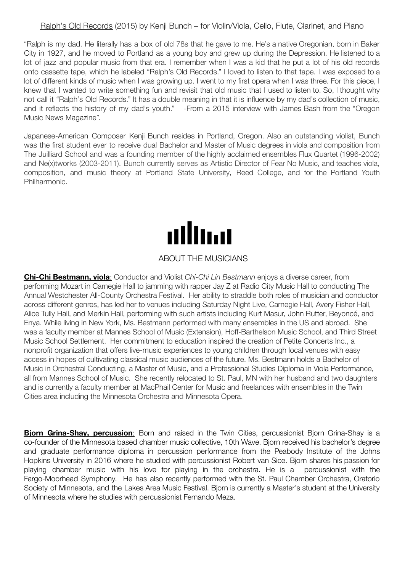### Ralph's Old Records (2015) by Kenji Bunch – for Violin/Viola, Cello, Flute, Clarinet, and Piano

"Ralph is my dad. He literally has a box of old 78s that he gave to me. He's a native Oregonian, born in Baker City in 1927, and he moved to Portland as a young boy and grew up during the Depression. He listened to a lot of jazz and popular music from that era. I remember when I was a kid that he put a lot of his old records onto cassette tape, which he labeled "Ralph's Old Records." I loved to listen to that tape. I was exposed to a lot of different kinds of music when I was growing up. I went to my first opera when I was three. For this piece, I knew that I wanted to write something fun and revisit that old music that I used to listen to. So, I thought why not call it "Ralph's Old Records." It has a double meaning in that it is influence by my dad's collection of music, and it reflects the history of my dad's youth." -From a 2015 interview with James Bash from the "Oregon Music News Magazine".

Japanese-American Composer Kenji Bunch resides in Portland, Oregon. Also an outstanding violist, Bunch was the first student ever to receive dual Bachelor and Master of Music degrees in viola and composition from The Juilliard School and was a founding member of the highly acclaimed ensembles Flux Quartet (1996-2002) and Ne(x)tworks (2003-2011). Bunch currently serves as Artistic Director of Fear No Music, and teaches viola, composition, and music theory at Portland State University, Reed College, and for the Portland Youth Philharmonic.



#### ABOUT THE MUSICIANS

**Chi-Chi Bestmann, viola**: Conductor and Violist *Chi-Chi Lin Bestmann* enjoys a diverse career, from performing Mozart in Carnegie Hall to jamming with rapper Jay Z at Radio City Music Hall to conducting The Annual Westchester All-County Orchestra Festival. Her ability to straddle both roles of musician and conductor across different genres, has led her to venues including Saturday Night Live, Carnegie Hall, Avery Fisher Hall, Alice Tully Hall, and Merkin Hall, performing with such artists including Kurt Masur, John Rutter, Beyoncé, and Enya. While living in New York, Ms. Bestmann performed with many ensembles in the US and abroad. She was a faculty member at Mannes School of Music (Extension), Hoff-Barthelson Music School, and Third Street Music School Settlement. Her commitment to education inspired the creation of Petite Concerts Inc., a nonprofit organization that offers live-music experiences to young children through local venues with easy access in hopes of cultivating classical music audiences of the future. Ms. Bestmann holds a Bachelor of Music in Orchestral Conducting, a Master of Music, and a Professional Studies Diploma in Viola Performance, all from Mannes School of Music. She recently relocated to St. Paul, MN with her husband and two daughters and is currently a faculty member at MacPhail Center for Music and freelances with ensembles in the Twin Cities area including the Minnesota Orchestra and Minnesota Opera.

**Bjorn Grina-Shay, percussion**: Born and raised in the Twin Cities, percussionist Bjorn Grina-Shay is a co-founder of the Minnesota based chamber music collective, 10th Wave. Bjorn received his bachelor's degree and graduate performance diploma in percussion performance from the Peabody Institute of the Johns Hopkins University in 2016 where he studied with percussionist Robert van Sice. Bjorn shares his passion for playing chamber music with his love for playing in the orchestra. He is a percussionist with the Fargo-Moorhead Symphony. He has also recently performed with the St. Paul Chamber Orchestra, Oratorio Society of Minnesota, and the Lakes Area Music Festival. Biorn is currently a Master's student at the University of Minnesota where he studies with percussionist Fernando Meza.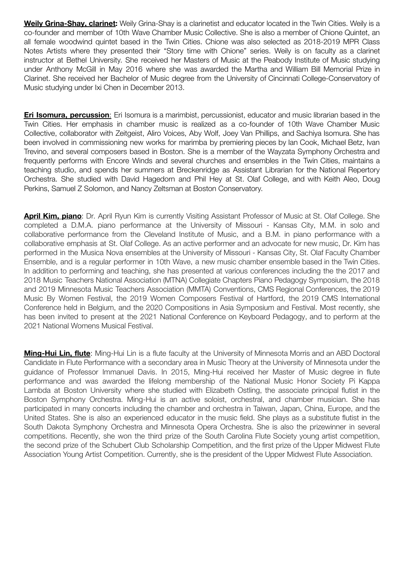**Weily Grina-Shay, clarinet:** Weily Grina-Shay is a clarinetist and educator located in the Twin Cities. Weily is a co-founder and member of 10th Wave Chamber Music Collective. She is also a member of Chione Quintet, an all female woodwind quintet based in the Twin Cities. Chione was also selected as 2018-2019 MPR Class Notes Artists where they presented their "Story time with Chione" series. Weily is on faculty as a clarinet instructor at Bethel University. She received her Masters of Music at the Peabody Institute of Music studying under Anthony McGill in May 2016 where she was awarded the Martha and William Bill Memorial Prize in Clarinet. She received her Bachelor of Music degree from the University of Cincinnati College-Conservatory of Music studying under Ixi Chen in December 2013.

**Eri Isomura, percussion**: Eri Isomura is a marimbist, percussionist, educator and music librarian based in the Twin Cities. Her emphasis in chamber music is realized as a co-founder of 10th Wave Chamber Music Collective, collaborator with Zeitgeist, Aliro Voices, Aby Wolf, Joey Van Phillips, and Sachiya Isomura. She has been involved in commissioning new works for marimba by premiering pieces by Ian Cook, Michael Betz, Ivan Trevino, and several composers based in Boston. She is a member of the Wayzata Symphony Orchestra and frequently performs with Encore Winds and several churches and ensembles in the Twin Cities, maintains a teaching studio, and spends her summers at Breckenridge as Assistant Librarian for the National Repertory Orchestra. She studied with David Hagedorn and Phil Hey at St. Olaf College, and with Keith Aleo, Doug Perkins, Samuel Z Solomon, and Nancy Zeltsman at Boston Conservatory.

**April Kim, piano**: Dr. April Ryun Kim is currently Visiting Assistant Professor of Music at St. Olaf College. She completed a D.M.A. piano performance at the University of Missouri - Kansas City, M.M. in solo and collaborative performance from the Cleveland Institute of Music, and a B.M. in piano performance with a collaborative emphasis at St. Olaf College. As an active performer and an advocate for new music, Dr. Kim has performed in the Musica Nova ensembles at the University of Missouri - Kansas City, St. Olaf Faculty Chamber Ensemble, and is a regular performer in 10th Wave, a new music chamber ensemble based in the Twin Cities. In addition to performing and teaching, she has presented at various conferences including the the 2017 and 2018 Music Teachers National Association (MTNA) Collegiate Chapters Piano Pedagogy Symposium, the 2018 and 2019 Minnesota Music Teachers Association (MMTA) Conventions, CMS Regional Conferences, the 2019 Music By Women Festival, the 2019 Women Composers Festival of Hartford, the 2019 CMS International Conference held in Belgium, and the 2020 Compositions in Asia Symposium and Festival. Most recently, she has been invited to present at the 2021 National Conference on Keyboard Pedagogy, and to perform at the 2021 National Womens Musical Festival.

**Ming-Hui Lin, flute**: Ming-Hui Lin is a flute faculty at the University of Minnesota Morris and an ABD Doctoral Candidate in Flute Performance with a secondary area in Music Theory at the University of Minnesota under the guidance of Professor Immanuel Davis. In 2015, Ming-Hui received her Master of Music degree in flute performance and was awarded the lifelong membership of the National Music Honor Society Pi Kappa Lambda at Boston University where she studied with Elizabeth Ostling, the associate principal flutist in the Boston Symphony Orchestra. Ming-Hui is an active soloist, orchestral, and chamber musician. She has participated in many concerts including the chamber and orchestra in Taiwan, Japan, China, Europe, and the United States. She is also an experienced educator in the music field. She plays as a substitute flutist in the South Dakota Symphony Orchestra and Minnesota Opera Orchestra. She is also the prizewinner in several competitions. Recently, she won the third prize of the South Carolina Flute Society young artist competition, the second prize of the Schubert Club Scholarship Competition, and the first prize of the Upper Midwest Flute Association Young Artist Competition. Currently, she is the president of the Upper Midwest Flute Association.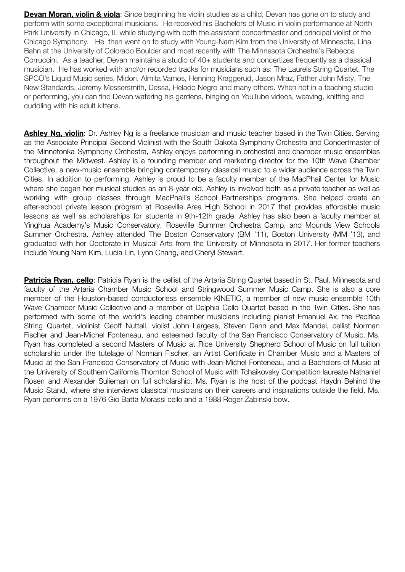**Devan Moran, violin & viola**: Since beginning his violin studies as a child, Devan has gone on to study and perform with some exceptional musicians. He received his Bachelors of Music in violin performance at North Park University in Chicago, IL while studying with both the assistant concertmaster and principal violist of the Chicago Symphony. He then went on to study with Young-Nam Kim from the University of Minnesota, Lina Bahn at the University of Colorado Boulder and most recently with The Minnesota Orchestra's Rebecca Corruccini. As a teacher, Devan maintains a studio of 40+ students and concertizes frequently as a classical musician. He has worked with and/or recorded tracks for musicians such as: The Laurels String Quartet, The SPCO's Liquid Music series, Midori, Almita Vamos, Henning Kraggerud, Jason Mraz, Father John Misty, The New Standards, Jeremy Messersmith, Dessa, Helado Negro and many others. When not in a teaching studio or performing, you can find Devan watering his gardens, binging on YouTube videos, weaving, knitting and cuddling with his adult kittens.

**Ashley Ng, violin**: Dr. Ashley Ng is a freelance musician and music teacher based in the Twin Cities. Serving as the Associate Principal Second Violinist with the South Dakota Symphony Orchestra and Concertmaster of the Minnetonka Symphony Orchestra, Ashley enjoys performing in orchestral and chamber music ensembles throughout the Midwest. Ashley is a founding member and marketing director for the 10th Wave Chamber Collective, a new-music ensemble bringing contemporary classical music to a wider audience across the Twin Cities. In addition to performing, Ashley is proud to be a faculty member of the MacPhail Center for Music where she began her musical studies as an 8-year-old. Ashley is involved both as a private teacher as well as working with group classes through MacPhail's School Partnerships programs. She helped create an after-school private lesson program at Roseville Area High School in 2017 that provides affordable music lessons as well as scholarships for students in 9th-12th grade. Ashley has also been a faculty member at Yinghua Academy's Music Conservatory, Roseville Summer Orchestra Camp, and Mounds View Schools Summer Orchestra. Ashley attended The Boston Conservatory (BM '11), Boston University (MM '13), and graduated with her Doctorate in Musical Arts from the University of Minnesota in 2017. Her former teachers include Young Nam Kim, Lucia Lin, Lynn Chang, and Cheryl Stewart.

**Patricia Ryan, cello**: Patricia Ryan is the cellist of the Artaria String Quartet based in St. Paul, Minnesota and faculty of the Artaria Chamber Music School and Stringwood Summer Music Camp. She is also a core member of the Houston-based conductorless ensemble KINETIC, a member of new music ensemble 10th Wave Chamber Music Collective and a member of Delphia Cello Quartet based in the Twin Cities. She has performed with some of the world's leading chamber musicians including pianist Emanuel Ax, the Pacifica String Quartet, violinist Geoff Nuttall, violist John Largess, Steven Dann and Max Mandel, cellist Norman Fischer and Jean-Michel Fonteneau, and esteemed faculty of the San Francisco Conservatory of Music. Ms. Ryan has completed a second Masters of Music at Rice University Shepherd School of Music on full tuition scholarship under the tutelage of Norman Fischer, an Artist Certificate in Chamber Music and a Masters of Music at the San Francisco Conservatory of Music with Jean-Michel Fonteneau, and a Bachelors of Music at the University of Southern California Thornton School of Music with Tchaikovsky Competition laureate Nathaniel Rosen and Alexander Sulieman on full scholarship. Ms. Ryan is the host of the podcast Haydn Behind the Music Stand, where she interviews classical musicians on their careers and inspirations outside the field. Ms. Ryan performs on a 1976 Gio Batta Morassi cello and a 1988 Roger Zabinski bow.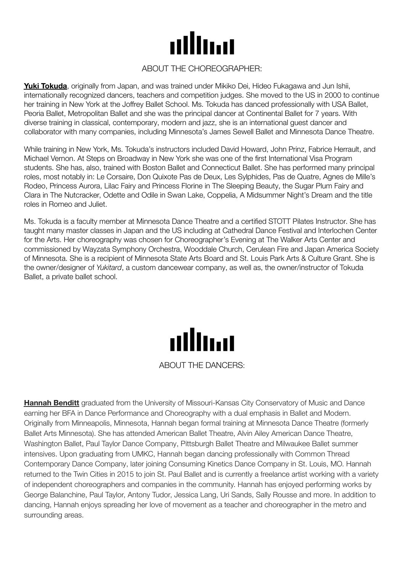

#### ABOUT THE CHOREOGRAPHER:

**Yuki Tokuda**, originally from Japan, and was trained under Mikiko Dei, Hideo Fukagawa and Jun Ishii, internationally recognized dancers, teachers and competition judges. She moved to the US in 2000 to continue her training in New York at the Joffrey Ballet School. Ms. Tokuda has danced professionally with USA Ballet, Peoria Ballet, Metropolitan Ballet and she was the principal dancer at Continental Ballet for 7 years. With diverse training in classical, contemporary, modern and jazz, she is an international guest dancer and collaborator with many companies, including Minnesota's James Sewell Ballet and Minnesota Dance Theatre.

While training in New York, Ms. Tokuda's instructors included David Howard, John Prinz, Fabrice Herrault, and Michael Vernon. At Steps on Broadway in New York she was one of the first International Visa Program students. She has, also, trained with Boston Ballet and Connecticut Ballet. She has performed many principal roles, most notably in: Le Corsaire, Don Quixote Pas de Deux, Les Sylphides, Pas de Quatre, Agnes de Mille's Rodeo, Princess Aurora, Lilac Fairy and Princess Florine in The Sleeping Beauty, the Sugar Plum Fairy and Clara in The Nutcracker, Odette and Odile in Swan Lake, Coppelia, A Midsummer Night's Dream and the title roles in Romeo and Juliet.

Ms. Tokuda is a faculty member at Minnesota Dance Theatre and a certified STOTT Pilates Instructor. She has taught many master classes in Japan and the US including at Cathedral Dance Festival and Interlochen Center for the Arts. Her choreography was chosen for Choreographer's Evening at The Walker Arts Center and commissioned by Wayzata Symphony Orchestra, Wooddale Church, Cerulean Fire and Japan America Society of Minnesota. She is a recipient of Minnesota State Arts Board and St. Louis Park Arts & Culture Grant. She is the owner/designer of *Yukitard*, a custom dancewear company, as well as, the owner/instructor of Tokuda Ballet, a private ballet school.



**Hannah Benditt** graduated from the University of Missouri-Kansas City Conservatory of Music and Dance earning her BFA in Dance Performance and Choreography with a dual emphasis in Ballet and Modern. Originally from Minneapolis, Minnesota, Hannah began formal training at Minnesota Dance Theatre (formerly Ballet Arts Minnesota). She has attended American Ballet Theatre, Alvin Ailey American Dance Theatre, Washington Ballet, Paul Taylor Dance Company, Pittsburgh Ballet Theatre and Milwaukee Ballet summer intensives. Upon graduating from UMKC, Hannah began dancing professionally with Common Thread Contemporary Dance Company, later joining Consuming Kinetics Dance Company in St. Louis, MO. Hannah returned to the Twin Cities in 2015 to join St. Paul Ballet and is currently a freelance artist working with a variety of independent choreographers and companies in the community. Hannah has enjoyed performing works by George Balanchine, Paul Taylor, Antony Tudor, Jessica Lang, Uri Sands, Sally Rousse and more. In addition to dancing, Hannah enjoys spreading her love of movement as a teacher and choreographer in the metro and surrounding areas.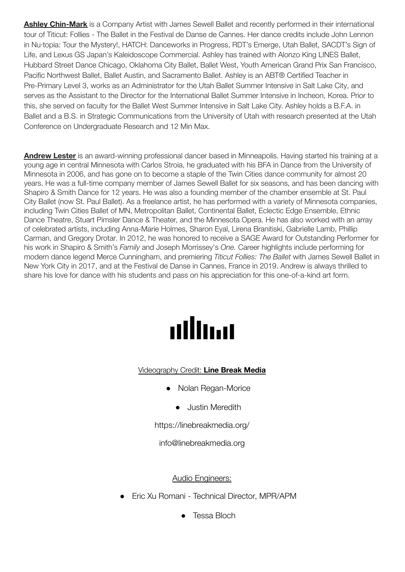**Ashley Chin-Mark** is a Company Artist with James Sewell Ballet and recently performed in their international tour of Titicut: Follies - The Ballet in the Festival de Danse de Cannes. Her dance credits include John Lennon in Nu·topia: Tour the Mystery!, HATCH: Danceworks in Progress, RDT's Emerge, Utah Ballet, SACDT's Sign of Life, and Lexus GS Japan's Kaleidoscope Commercial. Ashley has trained with Alonzo King LINES Ballet, Hubbard Street Dance Chicago, Oklahoma City Ballet, Ballet West, Youth American Grand Prix San Francisco, Pacific Northwest Ballet, Ballet Austin, and Sacramento Ballet. Ashley is an ABT® Certified Teacher in Pre-Primary Level 3, works as an Administrator for the Utah Ballet Summer Intensive in Salt Lake City, and serves as the Assistant to the Director for the International Ballet Summer Intensive in Incheon, Korea. Prior to this, she served on faculty for the Ballet West Summer Intensive in Salt Lake City. Ashley holds a B.F.A. in Ballet and a B.S. in Strategic Communications from the University of Utah with research presented at the Utah Conference on Undergraduate Research and 12 Min Max.

**Andrew Lester** is an award-winning professional dancer based in Minneapolis. Having started his training at a young age in central Minnesota with Carlos Stroia, he graduated with his BFA in Dance from the University of Minnesota in 2006, and has gone on to become a staple of the Twin Cities dance community for almost 20 years. He was a full-time company member of James Sewell Ballet for six seasons, and has been dancing with Shapiro & Smith Dance for 12 years. He was also a founding member of the chamber ensemble at St. Paul City Ballet (now St. Paul Ballet). As a freelance artist, he has performed with a variety of Minnesota companies, including Twin Cities Ballet of MN, Metropolitan Ballet, Continental Ballet, Eclectic Edge Ensemble, Ethnic Dance Theatre, Stuart Pimsler Dance & Theater, and the Minnesota Opera. He has also worked with an array of celebrated artists, including Anna-Marie Holmes, Sharon Eyal, Lirena Branitiski, Gabrielle Lamb, Phillip Carman, and Gregory Drotar. In 2012, he was honored to receive a SAGE Award for Outstanding Performer for his work in Shapiro & Smith's *Family* and Joseph Morrissey's *One.* Career highlights include performing for modern dance legend Merce Cunningham, and premiering *Titicut Follies: The Ballet* with James Sewell Ballet in New York City in 2017, and at the Festival de Danse in Cannes, France in 2019. Andrew is always thrilled to share his love for dance with his students and pass on his appreciation for this one-of-a-kind art form.

# allma

## Videography Credit: **Line Break Media**

- Nolan Regan-Morice
	- Justin Meredith

<https://linebreakmedia.org/>

info@linebreakmedia.org

## Audio Engineers:

- Eric Xu Romani Technical Director, MPR/APM
	- Tessa Bloch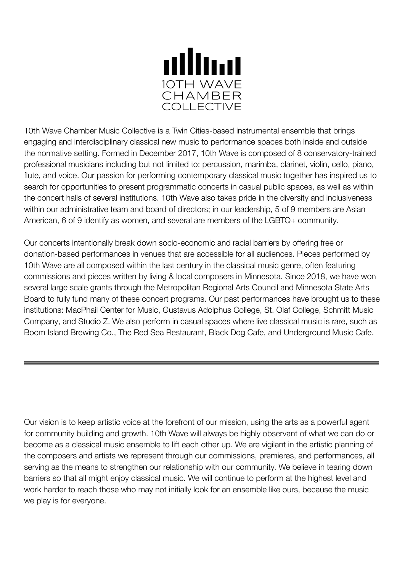

10th Wave Chamber Music Collective is a Twin Cities-based instrumental ensemble that brings engaging and interdisciplinary classical new music to performance spaces both inside and outside the normative setting. Formed in December 2017, 10th Wave is composed of 8 conservatory-trained professional musicians including but not limited to: percussion, marimba, clarinet, violin, cello, piano, flute, and voice. Our passion for performing contemporary classical music together has inspired us to search for opportunities to present programmatic concerts in casual public spaces, as well as within the concert halls of several institutions. 10th Wave also takes pride in the diversity and inclusiveness within our administrative team and board of directors; in our leadership, 5 of 9 members are Asian American, 6 of 9 identify as women, and several are members of the LGBTQ+ community.

Our concerts intentionally break down socio-economic and racial barriers by offering free or donation-based performances in venues that are accessible for all audiences. Pieces performed by 10th Wave are all composed within the last century in the classical music genre, often featuring commissions and pieces written by living & local composers in Minnesota. Since 2018, we have won several large scale grants through the Metropolitan Regional Arts Council and Minnesota State Arts Board to fully fund many of these concert programs. Our past performances have brought us to these institutions: MacPhail Center for Music, Gustavus Adolphus College, St. Olaf College, Schmitt Music Company, and Studio Z. We also perform in casual spaces where live classical music is rare, such as Boom Island Brewing Co., The Red Sea Restaurant, Black Dog Cafe, and Underground Music Cafe.

Our vision is to keep artistic voice at the forefront of our mission, using the arts as a powerful agent for community building and growth. 10th Wave will always be highly observant of what we can do or become as a classical music ensemble to lift each other up. We are vigilant in the artistic planning of the composers and artists we represent through our commissions, premieres, and performances, all serving as the means to strengthen our relationship with our community. We believe in tearing down barriers so that all might enjoy classical music. We will continue to perform at the highest level and work harder to reach those who may not initially look for an ensemble like ours, because the music we play is for everyone.